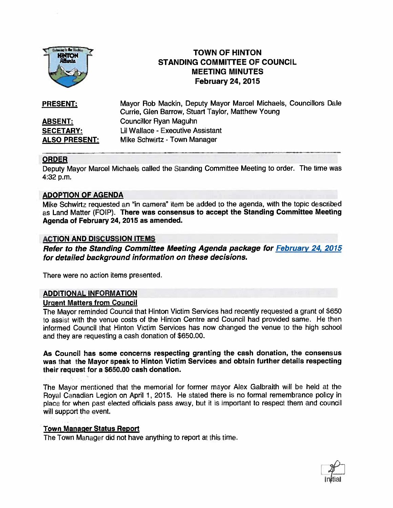

# TOWN OF HINTON STANDING COMMITTEE OF COUNCIL MEETING MINUTES February 24, 2015

| <b>PRESENT:</b>      | Mayor Rob Mackin, Deputy Mayor Marcel Michaels, Councillors Dale<br>Currie, Glen Barrow, Stuart Taylor, Matthew Young |
|----------------------|-----------------------------------------------------------------------------------------------------------------------|
| <b>ABSENT:</b>       | Councillor Ryan Maguhn                                                                                                |
| <b>SECETARY:</b>     | Lil Wallace - Executive Assistant                                                                                     |
| <b>ALSO PRESENT:</b> | Mike Schwirtz - Town Manager                                                                                          |

## ORDER

Deputy Mayor Marcel Michaels called the Standing Committee Meeting to order. The time was 4:32 p.m.

## ADOPTION OF AGENDA

Mike Schwirtz requested an "in camera" item be added to the agenda, with the topic described as Land Matter (FOIP). There was consensus to accept the Standing Committee Meeting Agenda of February 24, 2015 as amended.

## ACTION AND DISCUSSION ITEMS

Refer to the Standing Committee Meeting Agenda package for February 24, 2015 for detailed background information on these decisions.

There were no action items presented

## ADDITIONAL INFORMATION

#### Urgent Matters from Council

The Mayor reminded Council that Hinton Victim Services had recently requested <sup>a</sup> gran<sup>t</sup> of S650 to assist with the venue costs of the Hinton Centre and Council had provided same. He then informed Council that Hinton Victim Services has now changed the venue to the high school and they are requesting <sup>a</sup> cash donation of S650.00.

As Council has some concerns respecting granting the cash donation, the consensus was that the Mayor speak to Hinton Victim Services and obtain further details respecting their reques<sup>t</sup> for <sup>a</sup> \$650.00 cash donation,

The Mayor mentioned that the memorial for former mayor Alex Galbraith will be held at the Royal Canadian Legion on April 1, 2015. He stated there is no formal remembrance policy in place for when pas<sup>t</sup> elected officials pass away, but it is important to respec<sup>t</sup> them and council will suppor<sup>t</sup> the event.

#### Town Manager Status Report

The Town Manager did not have anything to repor<sup>t</sup> at this time